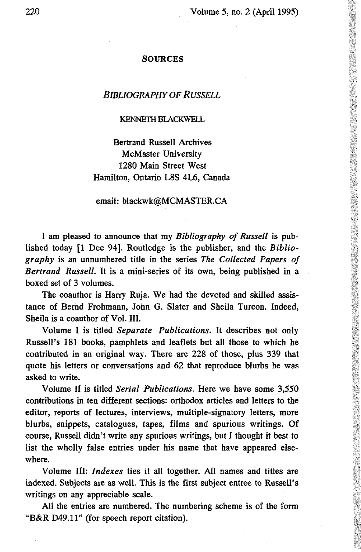#### SOURCES

## *BIBLIOGRAPHY OF RUSSELL*

#### KENNETH BLACKWELL

Bertrand Russell Archives McMaster University 1280 Main Street West Hamilton, Ontario L8S 4L6, Canada

### email: blackwk@MCMASTER.CA

I am pleased to announce that my *Bibliography of Russell* is published today [1 Dec 94]. Routledge is the publisher, and the *Bibliography* is an unnumbered title in the series *The Collected Papers of Bertrand Russell.* It is a mini-series of its own, being published in a boxed set of 3 volumes.

The coauthor is Harry Ruja. We had the devoted and skilled assistance of Bernd Frohmann, John G. Slater and Sheila Turcon. Indeed, Sheila is a coauthor of Vol. III.

Volume I is titled *Separate Publications.* It describes not only Russell's 181 books, pamphlets and leaflets but all those to which he contributed in an original way. There are 228 of those, plus 339 that quote his letters or conversations and 62 that reproduce blurbs he was asked to write.

Volume II is titled *Serial Publications.* Here we have some 3,550 contributions in ten different sections: orthodox articles and letters to the editor, reports of lectures, interviews, multiple-signatory letters, more blurbs, snippets, catalogues, tapes, films and spurious writings. Of course, Russell didn't write any spurious writings, but I thought it best to list the wholly false entries under his name that have appeared elsewhere.

Volume III: *Indexes* ties it all together. All names and titles are indexed. Subjects are as well. This is the first subject entree to Russell's writings on any appreciable scale.

All the entries are numbered. The numbering scheme is of the form "B&R D49.11" (for speech report citation).